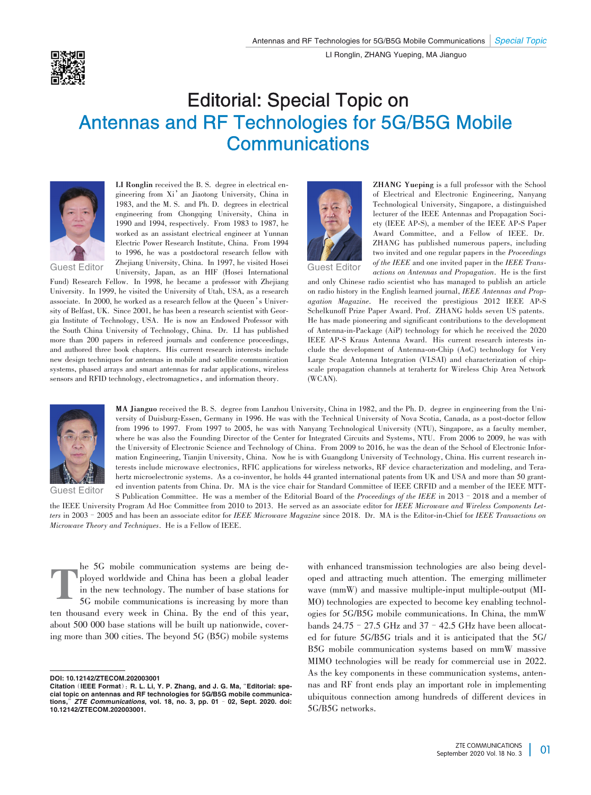## Editorial: Special Topic on Antennas and RF Technologies for 5G/B5G Mobile **Communications**



**LI Ronglin** received the B. S. degree in electrical en‐ gineering from Xi'an Jiaotong University, China in 1983, and the M. S. and Ph. D. degrees in electrical engineering from Chongqing University, China in 1990 and 1994, respectively. From 1983 to 1987, he worked as an assistant electrical engineer at Yunnan Electric Power Research Institute, China. From 1994 to 1996, he was a postdoctoral research fellow with Zhejiang University, China. In 1997, he visited Hosei University, Japan, as an HIF (Hosei International

Guest Editor

Fund) Research Fellow. In 1998, he became a professor with Zhejiang University. In 1999, he visited the University of Utah, USA, as a research associate. In 2000, he worked as a research fellow at the Queen's University of Belfast, UK. Since 2001, he has been a research scientist with Georgia Institute of Technology, USA. He is now an Endowed Professor with the South China University of Technology, China. Dr. LI has published more than 200 papers in refereed journals and conference proceedings, and authored three book chapters. His current research interests include new design techniques for antennas in mobile and satellite communication systems, phased arrays and smart antennas for radar applications, wireless sensors and RFID technology, electromagnetics, and information theory.



**ZHANG Yueping** is a full professor with the School of Electrical and Electronic Engineering, Nanyang Technological University, Singapore, a distinguished lecturer of the IEEE Antennas and Propagation Soci‐ ety (IEEE AP-S), a member of the IEEE AP-S Paper Award Committee, and a Fellow of IEEE. Dr. ZHANG has published numerous papers, including two invited and one regular papers in the *Proceedings of the IEEE* and one invited paper in the *IEEE Trans⁃*

Guest Editor

*actions on Antennas and Propagation*. He is the first and only Chinese radio scientist who has managed to publish an article on radio history in the English learned journal, *IEEE Antennas and Prop⁃ agation Magazine*. He received the prestigious 2012 IEEE AP-S Schelkunoff Prize Paper Award. Prof. ZHANG holds seven US patents. He has made pioneering and significant contributions to the development of Antenna-in-Package (AiP) technology for which he received the 2020 IEEE AP-S Kraus Antenna Award. His current research interests in‐ clude the development of Antenna-on-Chip (AoC) technology for Very Large Scale Antenna Integration (VLSAI) and characterization of chipscale propagation channels at terahertz for Wireless Chip Area Network (WCAN).



Guest Editor

MA Jianguo received the B. S. degree from Lanzhou University, China in 1982, and the Ph. D. degree in engineering from the University of Duisburg-Essen, Germany in 1996. He was with the Technical University of Nova Scotia, Canada, as a post-doctor fellow from 1996 to 1997. From 1997 to 2005, he was with Nanyang Technological University (NTU), Singapore, as a faculty member, where he was also the Founding Director of the Center for Integrated Circuits and Systems, NTU. From 2006 to 2009, he was with the University of Electronic Science and Technology of China. From 2009 to 2016, he was the dean of the School of Electronic Information Engineering, Tianjin University, China. Now he is with Guangdong University of Technology, China. His current research interests include microwave electronics, RFIC applications for wireless networks, RF device characterization and modeling, and Terahertz microelectronic systems. As a co-inventor, he holds 44 granted international patents from UK and USA and more than 50 granted invention patents from China. Dr. MA is the vice chair for Standard Committee of IEEE CRFID and a member of the IEEE MTT-S Publication Committee. He was a member of the Editorial Board of the *Proceedings of the IEEE* in 2013–2018 and a member of

the IEEE University Program Ad Hoc Committee from 2010 to 2013. He served as an associate editor for *IEEE Microwave and Wireless Components Letters* in 2003–2005 and has been an associate editor for *IEEE Microwave Magazine* since 2018. Dr. MA is the Editor-in-Chief for *IEEE Transactions on Microwave Theory and Techniques*. He is a Fellow of IEEE.

T he 5G mobile communication systems are being de‐ ployed worldwide and China has been a global leader in the new technology. The number of base stations for 5G mobile communications is increasing by more than ten thousand every week in China. By the end of this year, about 500 000 base stations will be built up nationwide, cover‐ ing more than 300 cities. The beyond 5G (B5G) mobile systems

with enhanced transmission technologies are also being developed and attracting much attention. The emerging millimeter wave (mmW) and massive multiple-input multiple-output (MI-MO) technologies are expected to become key enabling technologies for 5G/B5G mobile communications. In China, the mmW bands  $24.75$  –  $27.5$  GHz and  $37$  –  $42.5$  GHz have been allocated for future 5G/B5G trials and it is anticipated that the 5G/ B5G mobile communication systems based on mmW massive MIMO technologies will be ready for commercial use in 2022. As the key components in these communication systems, antennas and RF front ends play an important role in implementing ubiquitous connection among hundreds of different devices in 5G/B5G networks.

DOI: 10.12142/ZTECOM.202003001

Citation (IEEE Format): R. L. Li, Y. P. Zhang, and J. G. Ma, "Editorial: special topic on antennas and RF technologies for 5G/B5G mobile communications,"*ZTE Communications*, vol. 18, no. 3, pp. 01 – 02, Sept. 2020. doi: 10.12142/ZTECOM.202003001.